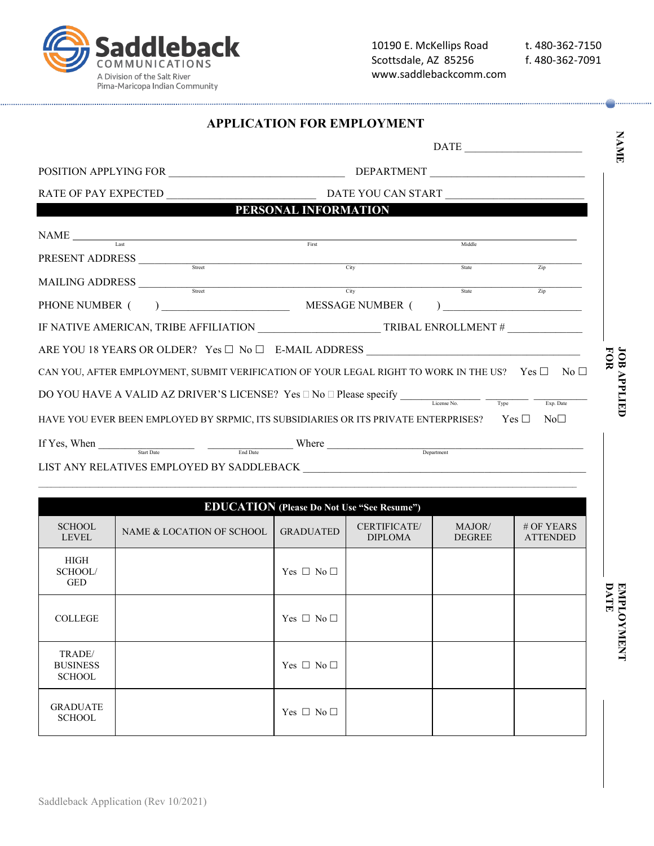ldleback COMMUNICATIONS A Division of the Salt River Pima-Maricopa Indian Community

|                                                                                                                                                                                                                                                                                                                                                                                                                                                                                                                                                                                                                                                                                                           | <b>APPLICATION FOR EMPLOYMENT</b>               |        |                   |  |  |
|-----------------------------------------------------------------------------------------------------------------------------------------------------------------------------------------------------------------------------------------------------------------------------------------------------------------------------------------------------------------------------------------------------------------------------------------------------------------------------------------------------------------------------------------------------------------------------------------------------------------------------------------------------------------------------------------------------------|-------------------------------------------------|--------|-------------------|--|--|
|                                                                                                                                                                                                                                                                                                                                                                                                                                                                                                                                                                                                                                                                                                           | <b>DATE</b><br>POSITION APPLYING FOR DEPARTMENT |        |                   |  |  |
|                                                                                                                                                                                                                                                                                                                                                                                                                                                                                                                                                                                                                                                                                                           |                                                 |        |                   |  |  |
|                                                                                                                                                                                                                                                                                                                                                                                                                                                                                                                                                                                                                                                                                                           |                                                 |        |                   |  |  |
| <u> 1989 - Jan Stein Stein Stein Stein Stein Stein Stein Stein Stein Stein Stein Stein Stein Stein Stein Stein S</u>                                                                                                                                                                                                                                                                                                                                                                                                                                                                                                                                                                                      | PERSONAL INFORMATION                            |        |                   |  |  |
| $\begin{array}{cc}\n\text{NAME} & \text{First} \\ \hline\n\text{Last} & \text{First}\n\end{array}$                                                                                                                                                                                                                                                                                                                                                                                                                                                                                                                                                                                                        |                                                 | Middle |                   |  |  |
| ${\bf PRESENT\; ADDRESS}\xrightarrow{\text{\it Street}\;}\xrightarrow{\text{\it Street}\;}\xrightarrow{\text{\it City}\;}\xrightarrow{\text{\it City}\;}\xrightarrow{\text{\it City}\;}\xrightarrow{\text{\it City}\;}\xrightarrow{\text{\it City}\;}\xrightarrow{\text{\it City}\;}\xrightarrow{\text{\it City}\;}\xrightarrow{\text{\it City}\;}\xrightarrow{\text{\it City}\;}\xrightarrow{\text{\it City}\;}\xrightarrow{\text{\it City}\;}\xrightarrow{\text{\it City}\;}\xrightarrow{\text{\it City}\;}\xrightarrow{\text{\it City}\;}\xrightarrow{\text{\it City}\;}\xrightarrow{\text{\it City}\;}\xrightarrow{\text{\it City}\;}\xrightarrow{\text{\it City}\;}\xrightarrow{\text{\it City}\;}\$ |                                                 | State  | $\overline{Z}$ ip |  |  |
| $\begin{tabular}{c} \bf{MAILING ADDRESS} \end{tabular} \begin{tabular}{c} \textbf{0} & \textbf{Sure} \\ \hline \end{tabular}$                                                                                                                                                                                                                                                                                                                                                                                                                                                                                                                                                                             |                                                 | State  | $\overline{Z}$ ip |  |  |
| PHONE NUMBER (                                                                                                                                                                                                                                                                                                                                                                                                                                                                                                                                                                                                                                                                                            | $)$ MESSAGE NUMBER (                            |        |                   |  |  |
| IF NATIVE AMERICAN, TRIBE AFFILIATION $\overline{\phantom{a}}$ TRIBAL ENROLLMENT # $\overline{\phantom{a}}$                                                                                                                                                                                                                                                                                                                                                                                                                                                                                                                                                                                               |                                                 |        |                   |  |  |
|                                                                                                                                                                                                                                                                                                                                                                                                                                                                                                                                                                                                                                                                                                           |                                                 |        |                   |  |  |
| CAN YOU, AFTER EMPLOYMENT, SUBMIT VERIFICATION OF YOUR LEGAL RIGHT TO WORK IN THE US? Yes $\Box$ No $\Box$                                                                                                                                                                                                                                                                                                                                                                                                                                                                                                                                                                                                |                                                 |        |                   |  |  |
|                                                                                                                                                                                                                                                                                                                                                                                                                                                                                                                                                                                                                                                                                                           |                                                 |        | Exp. Date         |  |  |
| HAVE YOU EVER BEEN EMPLOYED BY SRPMIC, ITS SUBSIDIARIES OR ITS PRIVATE ENTERPRISES? Yes □                                                                                                                                                                                                                                                                                                                                                                                                                                                                                                                                                                                                                 |                                                 |        | $No\square$       |  |  |
| Start Date Find Date End Date<br>If Yes, When                                                                                                                                                                                                                                                                                                                                                                                                                                                                                                                                                                                                                                                             | Where                                           |        |                   |  |  |
| LIST ANY RELATIVES EMPLOYED BY SADDLEBACK                                                                                                                                                                                                                                                                                                                                                                                                                                                                                                                                                                                                                                                                 |                                                 |        |                   |  |  |

 $\mathcal{L}_\mathcal{L} = \mathcal{L}_\mathcal{L} = \mathcal{L}_\mathcal{L} = \mathcal{L}_\mathcal{L} = \mathcal{L}_\mathcal{L} = \mathcal{L}_\mathcal{L} = \mathcal{L}_\mathcal{L} = \mathcal{L}_\mathcal{L} = \mathcal{L}_\mathcal{L} = \mathcal{L}_\mathcal{L} = \mathcal{L}_\mathcal{L} = \mathcal{L}_\mathcal{L} = \mathcal{L}_\mathcal{L} = \mathcal{L}_\mathcal{L} = \mathcal{L}_\mathcal{L} = \mathcal{L}_\mathcal{L} = \mathcal{L}_\mathcal{L}$ **EDUCATION (Please Do Not Use "See Resume") SCHOOL** SCHOOL NAME & LOCATION OF SCHOOL GRADUATED CERTIFICATE/ DIPLOMA MAJOR/ DEGREE # OF YEARS ATTENDED HIGH SCHOOL/ GED Yes  $\Box$  No  $\Box$ COLLEGE  $\qquad \qquad \qquad$  Yes  $\Box$  No  $\Box$ TRADE/ BUSINESS **SCHOOL** Yes  $\Box$  No  $\Box$ GRADUATE Yes  $\Box$  No  $\Box$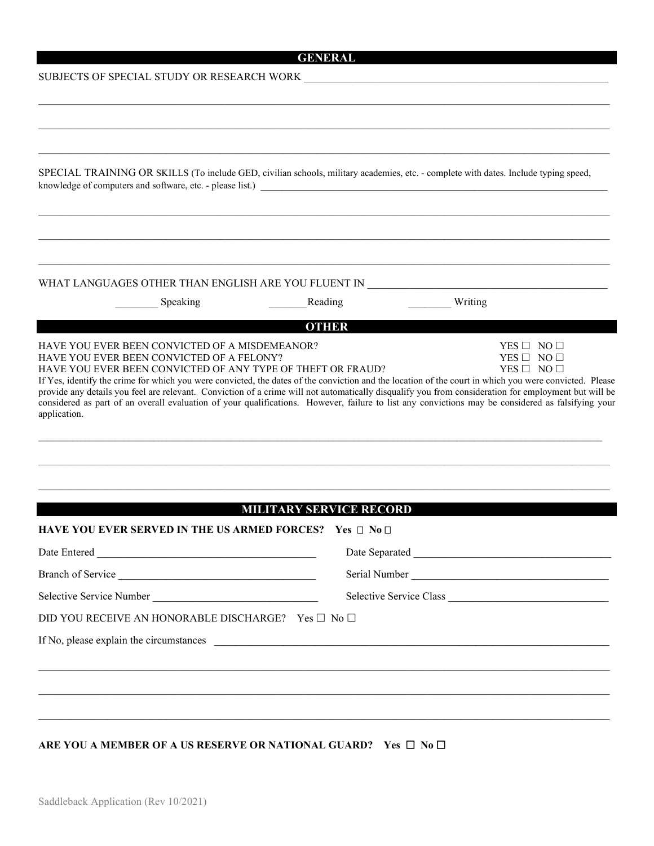# **GENERAL**

### ${\tt SUBIECTS}$  OF SPECIAL STUDY OR RESEARCH WORK  $\blacksquare$

| SPECIAL TRAINING OR SKILLS (To include GED, civilian schools, military academies, etc. - complete with dates. Include typing speed, |                                                                                                                                                                                                                                                                                                                                                                                                                                                                                                                                                     |  |  |
|-------------------------------------------------------------------------------------------------------------------------------------|-----------------------------------------------------------------------------------------------------------------------------------------------------------------------------------------------------------------------------------------------------------------------------------------------------------------------------------------------------------------------------------------------------------------------------------------------------------------------------------------------------------------------------------------------------|--|--|
|                                                                                                                                     |                                                                                                                                                                                                                                                                                                                                                                                                                                                                                                                                                     |  |  |
|                                                                                                                                     |                                                                                                                                                                                                                                                                                                                                                                                                                                                                                                                                                     |  |  |
|                                                                                                                                     |                                                                                                                                                                                                                                                                                                                                                                                                                                                                                                                                                     |  |  |
| WHAT LANGUAGES OTHER THAN ENGLISH ARE YOU FLUENT IN ____________________________                                                    |                                                                                                                                                                                                                                                                                                                                                                                                                                                                                                                                                     |  |  |
| Speaking                                                                                                                            | Writing<br>Reading                                                                                                                                                                                                                                                                                                                                                                                                                                                                                                                                  |  |  |
|                                                                                                                                     | <b>OTHER</b>                                                                                                                                                                                                                                                                                                                                                                                                                                                                                                                                        |  |  |
| HAVE YOU EVER BEEN CONVICTED OF A FELONY?<br>HAVE YOU EVER BEEN CONVICTED OF ANY TYPE OF THEFT OR FRAUD?<br>application.            | $YES \Box NO \Box$<br>YES $\Box$ NO $\Box$<br>If Yes, identify the crime for which you were convicted, the dates of the conviction and the location of the court in which you were convicted. Please<br>provide any details you feel are relevant. Conviction of a crime will not automatically disqualify you from consideration for employment but will be<br>considered as part of an overall evaluation of your qualifications. However, failure to list any convictions may be considered as falsifying your<br><b>MILITARY SERVICE RECORD</b> |  |  |
| HAVE YOU EVER SERVED IN THE US ARMED FORCES? Yes □ No □                                                                             |                                                                                                                                                                                                                                                                                                                                                                                                                                                                                                                                                     |  |  |
| Date Entered                                                                                                                        | Date Separated Management of the Separated                                                                                                                                                                                                                                                                                                                                                                                                                                                                                                          |  |  |
| Branch of Service                                                                                                                   |                                                                                                                                                                                                                                                                                                                                                                                                                                                                                                                                                     |  |  |
| Selective Service Number                                                                                                            | Selective Service Class                                                                                                                                                                                                                                                                                                                                                                                                                                                                                                                             |  |  |
|                                                                                                                                     |                                                                                                                                                                                                                                                                                                                                                                                                                                                                                                                                                     |  |  |
| DID YOU RECEIVE AN HONORABLE DISCHARGE? Yes □ No □                                                                                  |                                                                                                                                                                                                                                                                                                                                                                                                                                                                                                                                                     |  |  |

### ARE YOU A MEMBER OF A US RESERVE OR NATIONAL GUARD? Yes  $\Box$  No  $\Box$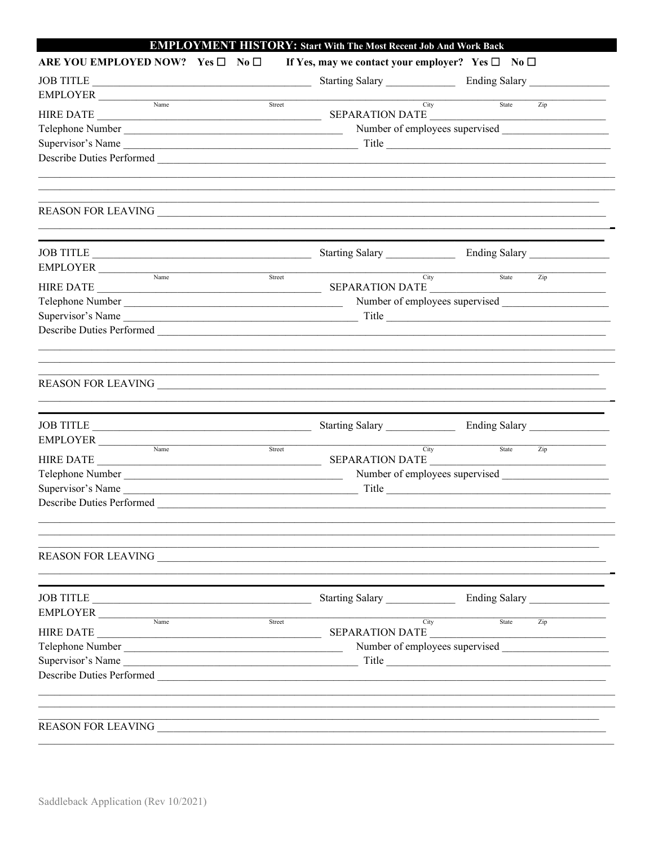| ARE YOU EMPLOYED NOW? Yes □ No □ |           | If Yes, may we contact your employer? Yes $\square$ No $\square$                                                                                                               |                                                                                                                                                                                                                                                                                                                                                                                            |
|----------------------------------|-----------|--------------------------------------------------------------------------------------------------------------------------------------------------------------------------------|--------------------------------------------------------------------------------------------------------------------------------------------------------------------------------------------------------------------------------------------------------------------------------------------------------------------------------------------------------------------------------------------|
|                                  |           |                                                                                                                                                                                |                                                                                                                                                                                                                                                                                                                                                                                            |
|                                  | JOB TITLE |                                                                                                                                                                                |                                                                                                                                                                                                                                                                                                                                                                                            |
|                                  |           |                                                                                                                                                                                | City<br>State<br>Zip                                                                                                                                                                                                                                                                                                                                                                       |
|                                  |           |                                                                                                                                                                                |                                                                                                                                                                                                                                                                                                                                                                                            |
|                                  |           |                                                                                                                                                                                | Number of employees supervised                                                                                                                                                                                                                                                                                                                                                             |
|                                  |           |                                                                                                                                                                                |                                                                                                                                                                                                                                                                                                                                                                                            |
|                                  |           |                                                                                                                                                                                |                                                                                                                                                                                                                                                                                                                                                                                            |
|                                  |           |                                                                                                                                                                                |                                                                                                                                                                                                                                                                                                                                                                                            |
|                                  |           |                                                                                                                                                                                |                                                                                                                                                                                                                                                                                                                                                                                            |
|                                  |           |                                                                                                                                                                                |                                                                                                                                                                                                                                                                                                                                                                                            |
|                                  |           |                                                                                                                                                                                |                                                                                                                                                                                                                                                                                                                                                                                            |
|                                  |           |                                                                                                                                                                                |                                                                                                                                                                                                                                                                                                                                                                                            |
|                                  |           |                                                                                                                                                                                | State<br>City<br>Zip                                                                                                                                                                                                                                                                                                                                                                       |
|                                  |           |                                                                                                                                                                                |                                                                                                                                                                                                                                                                                                                                                                                            |
|                                  |           |                                                                                                                                                                                | Title                                                                                                                                                                                                                                                                                                                                                                                      |
|                                  |           |                                                                                                                                                                                |                                                                                                                                                                                                                                                                                                                                                                                            |
|                                  |           |                                                                                                                                                                                |                                                                                                                                                                                                                                                                                                                                                                                            |
|                                  |           |                                                                                                                                                                                |                                                                                                                                                                                                                                                                                                                                                                                            |
|                                  |           |                                                                                                                                                                                |                                                                                                                                                                                                                                                                                                                                                                                            |
|                                  |           |                                                                                                                                                                                |                                                                                                                                                                                                                                                                                                                                                                                            |
|                                  |           |                                                                                                                                                                                | City<br>State<br>Zip                                                                                                                                                                                                                                                                                                                                                                       |
|                                  |           |                                                                                                                                                                                |                                                                                                                                                                                                                                                                                                                                                                                            |
|                                  |           |                                                                                                                                                                                |                                                                                                                                                                                                                                                                                                                                                                                            |
|                                  |           |                                                                                                                                                                                |                                                                                                                                                                                                                                                                                                                                                                                            |
|                                  |           |                                                                                                                                                                                |                                                                                                                                                                                                                                                                                                                                                                                            |
|                                  |           |                                                                                                                                                                                |                                                                                                                                                                                                                                                                                                                                                                                            |
|                                  |           |                                                                                                                                                                                | Starting Salary Ending Salary                                                                                                                                                                                                                                                                                                                                                              |
|                                  |           |                                                                                                                                                                                |                                                                                                                                                                                                                                                                                                                                                                                            |
|                                  |           |                                                                                                                                                                                | $\overline{Zip}$<br>City<br>State<br>SEPARATION DATE                                                                                                                                                                                                                                                                                                                                       |
|                                  |           |                                                                                                                                                                                |                                                                                                                                                                                                                                                                                                                                                                                            |
|                                  |           |                                                                                                                                                                                |                                                                                                                                                                                                                                                                                                                                                                                            |
|                                  |           |                                                                                                                                                                                |                                                                                                                                                                                                                                                                                                                                                                                            |
|                                  |           |                                                                                                                                                                                |                                                                                                                                                                                                                                                                                                                                                                                            |
|                                  |           |                                                                                                                                                                                |                                                                                                                                                                                                                                                                                                                                                                                            |
|                                  |           |                                                                                                                                                                                |                                                                                                                                                                                                                                                                                                                                                                                            |
|                                  |           | $EMPLOYER$ $\frac{Name}{Name}$<br>$\begin{tabular}{c} \bf{EMPLOYER} \end{tabular}$<br>$\text{EMPLOYER} \begin{tabular}{c} \multicolumn{2}{c}{\textbf{EMPLOYER}} \end{tabular}$ | Street<br>Telephone Number<br>JOB TITLE<br>Street<br>Telephone Number<br>Supervisor's Name<br>JOB TITLE<br>Starting Salary Ending Salary Ending Salary<br>Street<br>SEPARATION DATE<br><u> 1989 - Johann Barbara, margaret eta idazlearia (h. 1989).</u><br>Telephone Number<br>Describe Duties Performed<br>REASON FOR LEAVING PRODUCED AND THE REASON FOR LEAVING<br>JOB TITLE<br>Street |